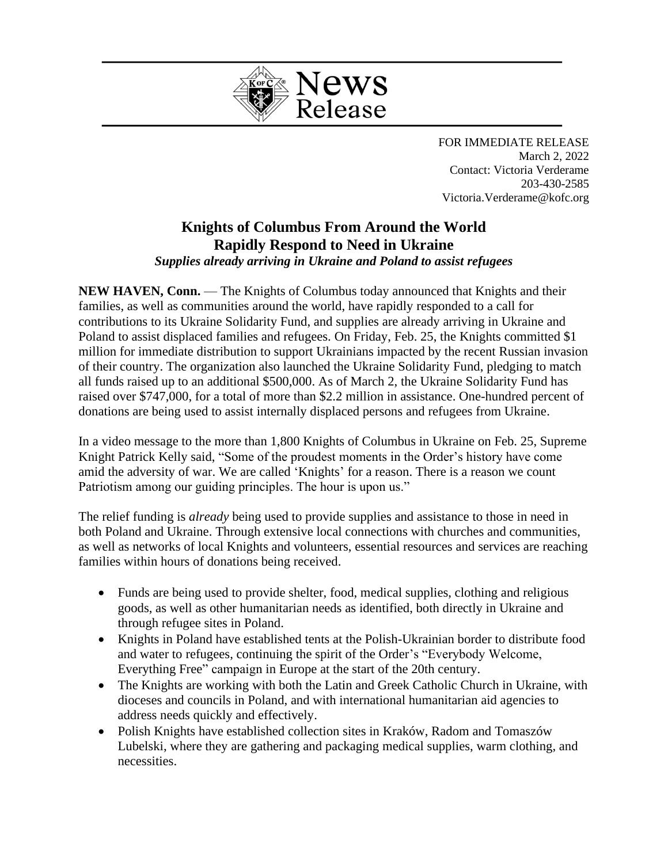

FOR IMMEDIATE RELEASE March 2, 2022 Contact: Victoria Verderame 203-430-2585 Victoria.Verderame@kofc.org

## **Knights of Columbus From Around the World Rapidly Respond to Need in Ukraine** *Supplies already arriving in Ukraine and Poland to assist refugees*

**NEW HAVEN, Conn.** — The Knights of Columbus today announced that Knights and their families, as well as communities around the world, have rapidly responded to a call for contributions to its Ukraine Solidarity Fund, and supplies are already arriving in Ukraine and Poland to assist displaced families and refugees. On Friday, Feb. 25, the Knights committed \$1 million for immediate distribution to support Ukrainians impacted by the recent Russian invasion of their country. The organization also launched the Ukraine Solidarity Fund, pledging to match all funds raised up to an additional \$500,000. As of March 2, the Ukraine Solidarity Fund has raised over \$747,000, for a total of more than \$2.2 million in assistance. One-hundred percent of donations are being used to assist internally displaced persons and refugees from Ukraine.

In a video message to the more than 1,800 Knights of Columbus in Ukraine on Feb. 25, Supreme Knight Patrick Kelly said, "Some of the proudest moments in the Order's history have come amid the adversity of war. We are called 'Knights' for a reason. There is a reason we count Patriotism among our guiding principles. The hour is upon us."

The relief funding is *already* being used to provide supplies and assistance to those in need in both Poland and Ukraine. Through extensive local connections with churches and communities, as well as networks of local Knights and volunteers, essential resources and services are reaching families within hours of donations being received.

- Funds are being used to provide shelter, food, medical supplies, clothing and religious goods, as well as other humanitarian needs as identified, both directly in Ukraine and through refugee sites in Poland.
- Knights in Poland have established tents at the Polish-Ukrainian border to distribute food and water to refugees, continuing the spirit of the Order's "Everybody Welcome, Everything Free" campaign in Europe at the start of the 20th century.
- The Knights are working with both the Latin and Greek Catholic Church in Ukraine, with dioceses and councils in Poland, and with international humanitarian aid agencies to address needs quickly and effectively.
- Polish Knights have established collection sites in Kraków, Radom and Tomaszów Lubelski, where they are gathering and packaging medical supplies, warm clothing, and necessities.